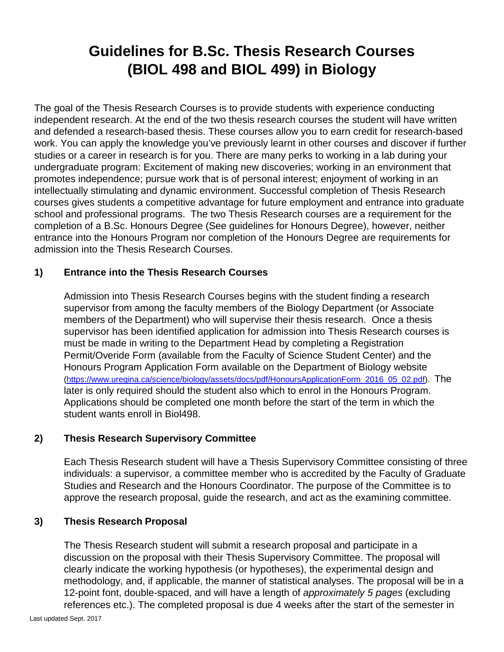# **Guidelines for B.Sc. Thesis Research Courses (BIOL 498 and BIOL 499) in Biology**

The goal of the Thesis Research Courses is to provide students with experience conducting independent research. At the end of the two thesis research courses the student will have written and defended a research-based thesis. These courses allow you to earn credit for research-based work. You can apply the knowledge you've previously learnt in other courses and discover if further studies or a career in research is for you. There are many perks to working in a lab during your undergraduate program: Excitement of making new discoveries; working in an environment that promotes independence; pursue work that is of personal interest; enjoyment of working in an intellectually stimulating and dynamic environment. Successful completion of Thesis Research courses gives students a competitive advantage for future employment and entrance into graduate school and professional programs. The two Thesis Research courses are a requirement for the completion of a B.Sc. Honours Degree (See guidelines for Honours Degree), however, neither entrance into the Honours Program nor completion of the Honours Degree are requirements for admission into the Thesis Research Courses.

## **1) Entrance into the Thesis Research Courses**

Admission into Thesis Research Courses begins with the student finding a research supervisor from among the faculty members of the Biology Department (or Associate members of the Department) who will supervise their thesis research. Once a thesis supervisor has been identified application for admission into Thesis Research courses is must be made in writing to the Department Head by completing a Registration Permit/Overide Form (available from the Faculty of Science Student Center) and the Honours Program Application Form available on the Department of Biology website [\(https://www.uregina.ca/science/biology/assets/docs/pdf/HonoursApplicationForm\\_2016\\_05\\_02.pdf\)](https://www.uregina.ca/science/biology/assets/docs/pdf/HonoursApplicationForm_2016_05_02.pdf). The later is only required should the student also which to enrol in the Honours Program. Applications should be completed one month before the start of the term in which the student wants enroll in Biol498.

## **2) Thesis Research Supervisory Committee**

Each Thesis Research student will have a Thesis Supervisory Committee consisting of three individuals: a supervisor, a committee member who is accredited by the Faculty of Graduate Studies and Research and the Honours Coordinator. The purpose of the Committee is to approve the research proposal, guide the research, and act as the examining committee.

#### **3) Thesis Research Proposal**

The Thesis Research student will submit a research proposal and participate in a discussion on the proposal with their Thesis Supervisory Committee. The proposal will clearly indicate the working hypothesis (or hypotheses), the experimental design and methodology, and, if applicable, the manner of statistical analyses. The proposal will be in a 12-point font, double-spaced, and will have a length of *approximately 5 pages* (excluding references etc.). The completed proposal is due 4 weeks after the start of the semester in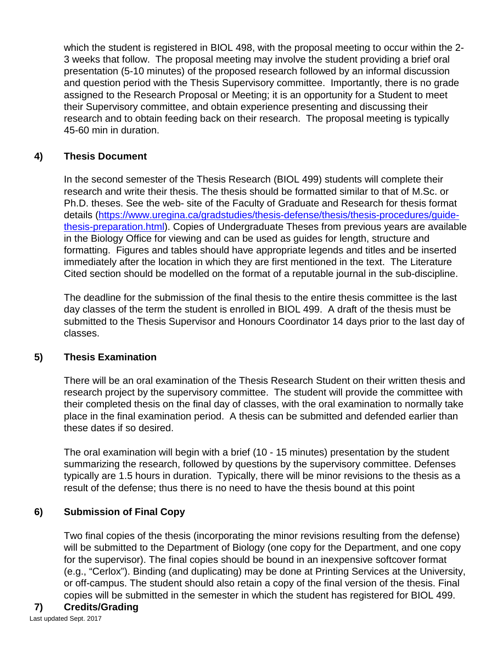which the student is registered in BIOL 498, with the proposal meeting to occur within the 2- 3 weeks that follow. The proposal meeting may involve the student providing a brief oral presentation (5-10 minutes) of the proposed research followed by an informal discussion and question period with the Thesis Supervisory committee. Importantly, there is no grade assigned to the Research Proposal or Meeting; it is an opportunity for a Student to meet their Supervisory committee, and obtain experience presenting and discussing their research and to obtain feeding back on their research. The proposal meeting is typically 45-60 min in duration.

## **4) Thesis Document**

In the second semester of the Thesis Research (BIOL 499) students will complete their research and write their thesis. The thesis should be formatted similar to that of M.Sc. or Ph.D. theses. See the web- site of the Faculty of Graduate and Research for thesis format details [\(https://www.uregina.ca/gradstudies/thesis-defense/thesis/thesis-procedures/guide](https://www.uregina.ca/gradstudies/thesis-defense/thesis/thesis-procedures/guide-thesis-preparation.html)[thesis-preparation.html\)](https://www.uregina.ca/gradstudies/thesis-defense/thesis/thesis-procedures/guide-thesis-preparation.html). Copies of Undergraduate Theses from previous years are available in the Biology Office for viewing and can be used as guides for length, structure and formatting. Figures and tables should have appropriate legends and titles and be inserted immediately after the location in which they are first mentioned in the text. The Literature Cited section should be modelled on the format of a reputable journal in the sub-discipline.

The deadline for the submission of the final thesis to the entire thesis committee is the last day classes of the term the student is enrolled in BIOL 499. A draft of the thesis must be submitted to the Thesis Supervisor and Honours Coordinator 14 days prior to the last day of classes.

## **5) Thesis Examination**

There will be an oral examination of the Thesis Research Student on their written thesis and research project by the supervisory committee. The student will provide the committee with their completed thesis on the final day of classes, with the oral examination to normally take place in the final examination period. A thesis can be submitted and defended earlier than these dates if so desired.

The oral examination will begin with a brief (10 - 15 minutes) presentation by the student summarizing the research, followed by questions by the supervisory committee. Defenses typically are 1.5 hours in duration. Typically, there will be minor revisions to the thesis as a result of the defense; thus there is no need to have the thesis bound at this point

# **6) Submission of Final Copy**

Two final copies of the thesis (incorporating the minor revisions resulting from the defense) will be submitted to the Department of Biology (one copy for the Department, and one copy for the supervisor). The final copies should be bound in an inexpensive softcover format (e.g., "Cerlox"). Binding (and duplicating) may be done at Printing Services at the University, or off-campus. The student should also retain a copy of the final version of the thesis. Final copies will be submitted in the semester in which the student has registered for BIOL 499.

# **7) Credits/Grading**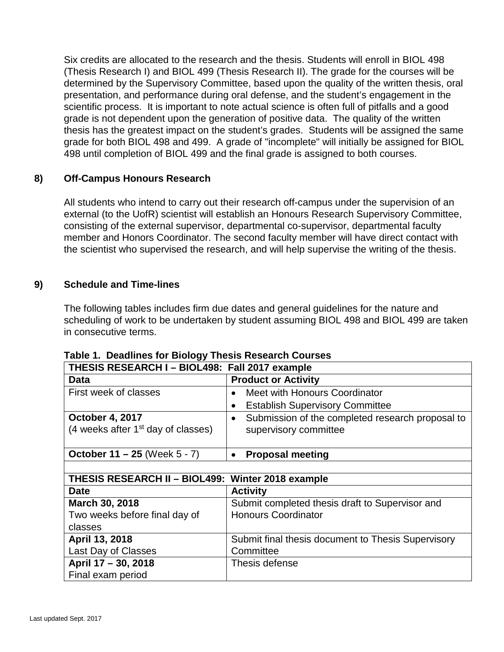Six credits are allocated to the research and the thesis. Students will enroll in BIOL 498 (Thesis Research I) and BIOL 499 (Thesis Research II). The grade for the courses will be determined by the Supervisory Committee, based upon the quality of the written thesis, oral presentation, and performance during oral defense, and the student's engagement in the scientific process. It is important to note actual science is often full of pitfalls and a good grade is not dependent upon the generation of positive data. The quality of the written thesis has the greatest impact on the student's grades. Students will be assigned the same grade for both BIOL 498 and 499. A grade of "incomplete" will initially be assigned for BIOL 498 until completion of BIOL 499 and the final grade is assigned to both courses.

## **8) Off-Campus Honours Research**

All students who intend to carry out their research off-campus under the supervision of an external (to the UofR) scientist will establish an Honours Research Supervisory Committee, consisting of the external supervisor, departmental co-supervisor, departmental faculty member and Honors Coordinator. The second faculty member will have direct contact with the scientist who supervised the research, and will help supervise the writing of the thesis.

## **9) Schedule and Time-lines**

The following tables includes firm due dates and general guidelines for the nature and scheduling of work to be undertaken by student assuming BIOL 498 and BIOL 499 are taken in consecutive terms.

| THESIS RESEARCH I – BIOL498: Fall 2017 example    |                                                               |  |  |  |  |
|---------------------------------------------------|---------------------------------------------------------------|--|--|--|--|
| Data                                              | <b>Product or Activity</b>                                    |  |  |  |  |
| First week of classes                             | Meet with Honours Coordinator                                 |  |  |  |  |
|                                                   | <b>Establish Supervisory Committee</b><br>$\bullet$           |  |  |  |  |
| <b>October 4, 2017</b>                            | Submission of the completed research proposal to<br>$\bullet$ |  |  |  |  |
| (4 weeks after $1st$ day of classes)              | supervisory committee                                         |  |  |  |  |
|                                                   |                                                               |  |  |  |  |
| October $11 - 25$ (Week $5 - 7$ )                 | <b>Proposal meeting</b>                                       |  |  |  |  |
|                                                   |                                                               |  |  |  |  |
| THESIS RESEARCH II - BIOL499: Winter 2018 example |                                                               |  |  |  |  |
|                                                   |                                                               |  |  |  |  |
| <b>Date</b>                                       | <b>Activity</b>                                               |  |  |  |  |
| March 30, 2018                                    | Submit completed thesis draft to Supervisor and               |  |  |  |  |
| Two weeks before final day of                     | <b>Honours Coordinator</b>                                    |  |  |  |  |
| classes                                           |                                                               |  |  |  |  |
| April 13, 2018                                    | Submit final thesis document to Thesis Supervisory            |  |  |  |  |
| Last Day of Classes                               | Committee                                                     |  |  |  |  |
| April 17 - 30, 2018                               | Thesis defense                                                |  |  |  |  |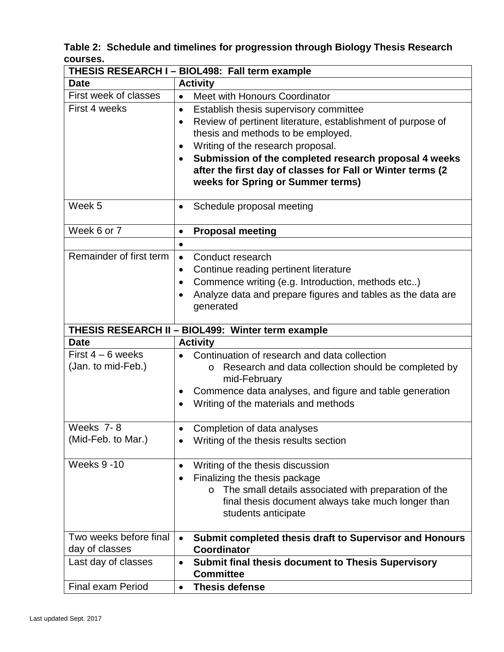**Table 2: Schedule and timelines for progression through Biology Thesis Research courses.** 

|                                                   | THESIS RESEARCH I - BIOL498: Fall term example                     |                                                         |  |  |  |  |  |
|---------------------------------------------------|--------------------------------------------------------------------|---------------------------------------------------------|--|--|--|--|--|
| <b>Date</b>                                       | <b>Activity</b>                                                    |                                                         |  |  |  |  |  |
| First week of classes                             | Meet with Honours Coordinator                                      |                                                         |  |  |  |  |  |
| First 4 weeks                                     | Establish thesis supervisory committee                             |                                                         |  |  |  |  |  |
|                                                   | Review of pertinent literature, establishment of purpose of        |                                                         |  |  |  |  |  |
|                                                   | thesis and methods to be employed.                                 |                                                         |  |  |  |  |  |
|                                                   | Writing of the research proposal.<br>$\bullet$                     |                                                         |  |  |  |  |  |
|                                                   | Submission of the completed research proposal 4 weeks<br>$\bullet$ |                                                         |  |  |  |  |  |
|                                                   | after the first day of classes for Fall or Winter terms (2         |                                                         |  |  |  |  |  |
|                                                   | weeks for Spring or Summer terms)                                  |                                                         |  |  |  |  |  |
| Week 5                                            | Schedule proposal meeting                                          |                                                         |  |  |  |  |  |
|                                                   |                                                                    |                                                         |  |  |  |  |  |
| Week 6 or 7                                       | <b>Proposal meeting</b>                                            |                                                         |  |  |  |  |  |
|                                                   |                                                                    |                                                         |  |  |  |  |  |
| Remainder of first term                           | Conduct research                                                   |                                                         |  |  |  |  |  |
|                                                   | Continue reading pertinent literature                              |                                                         |  |  |  |  |  |
|                                                   | Commence writing (e.g. Introduction, methods etc)                  |                                                         |  |  |  |  |  |
|                                                   | Analyze data and prepare figures and tables as the data are        |                                                         |  |  |  |  |  |
|                                                   | generated                                                          |                                                         |  |  |  |  |  |
| THESIS RESEARCH II - BIOL499: Winter term example |                                                                    |                                                         |  |  |  |  |  |
|                                                   |                                                                    |                                                         |  |  |  |  |  |
|                                                   |                                                                    |                                                         |  |  |  |  |  |
| <b>Date</b>                                       | <b>Activity</b>                                                    |                                                         |  |  |  |  |  |
| First $4 - 6$ weeks                               | Continuation of research and data collection<br>O                  |                                                         |  |  |  |  |  |
| (Jan. to mid-Feb.)                                | mid-February                                                       | Research and data collection should be completed by     |  |  |  |  |  |
|                                                   | Commence data analyses, and figure and table generation            |                                                         |  |  |  |  |  |
|                                                   | Writing of the materials and methods                               |                                                         |  |  |  |  |  |
|                                                   |                                                                    |                                                         |  |  |  |  |  |
| Weeks 7-8                                         | Completion of data analyses                                        |                                                         |  |  |  |  |  |
| (Mid-Feb. to Mar.)                                | Writing of the thesis results section                              |                                                         |  |  |  |  |  |
|                                                   |                                                                    |                                                         |  |  |  |  |  |
| <b>Weeks 9 -10</b>                                | Writing of the thesis discussion                                   |                                                         |  |  |  |  |  |
|                                                   | Finalizing the thesis package                                      |                                                         |  |  |  |  |  |
|                                                   | $\circ$                                                            | The small details associated with preparation of the    |  |  |  |  |  |
|                                                   |                                                                    | final thesis document always take much longer than      |  |  |  |  |  |
|                                                   | students anticipate                                                |                                                         |  |  |  |  |  |
| Two weeks before final                            |                                                                    |                                                         |  |  |  |  |  |
| day of classes                                    | <b>Coordinator</b>                                                 | Submit completed thesis draft to Supervisor and Honours |  |  |  |  |  |
| Last day of classes                               | <b>Submit final thesis document to Thesis Supervisory</b>          |                                                         |  |  |  |  |  |
|                                                   | <b>Committee</b>                                                   |                                                         |  |  |  |  |  |